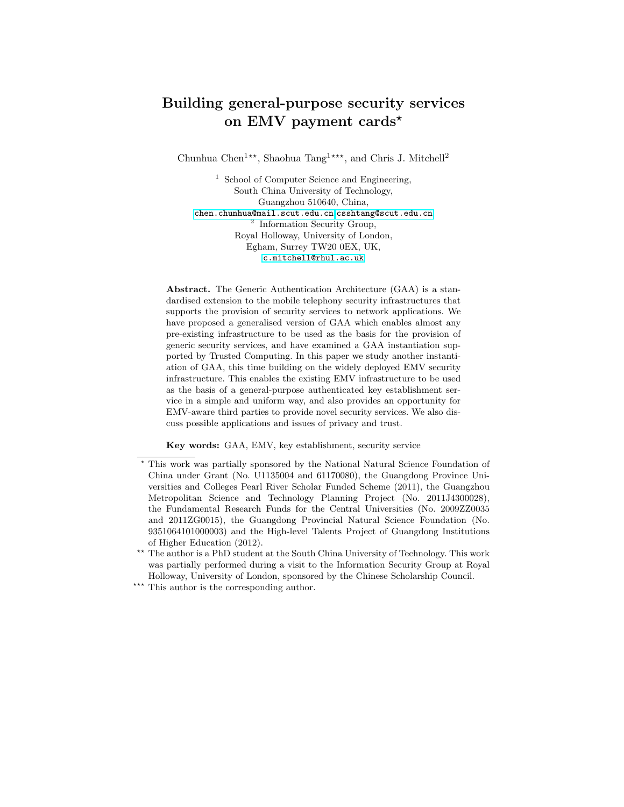# Building general-purpose security services on EMV payment cards<sup>\*</sup>

Chunhua Chen<sup>1\*\*</sup>, Shaohua Tang<sup>1\*\*\*</sup>, and Chris J. Mitchell<sup>2</sup>

<sup>1</sup> School of Computer Science and Engineering, South China University of Technology, Guangzhou 510640, China, <chen.chunhua@mail.scut.edu.cn><csshtang@scut.edu.cn> 2 Information Security Group, Royal Holloway, University of London, Egham, Surrey TW20 0EX, UK, <c.mitchell@rhul.ac.uk>

Abstract. The Generic Authentication Architecture (GAA) is a standardised extension to the mobile telephony security infrastructures that supports the provision of security services to network applications. We have proposed a generalised version of GAA which enables almost any pre-existing infrastructure to be used as the basis for the provision of generic security services, and have examined a GAA instantiation supported by Trusted Computing. In this paper we study another instantiation of GAA, this time building on the widely deployed EMV security infrastructure. This enables the existing EMV infrastructure to be used as the basis of a general-purpose authenticated key establishment service in a simple and uniform way, and also provides an opportunity for EMV-aware third parties to provide novel security services. We also discuss possible applications and issues of privacy and trust.

Key words: GAA, EMV, key establishment, security service

<sup>?</sup> This work was partially sponsored by the National Natural Science Foundation of China under Grant (No. U1135004 and 61170080), the Guangdong Province Universities and Colleges Pearl River Scholar Funded Scheme (2011), the Guangzhou Metropolitan Science and Technology Planning Project (No. 2011J4300028), the Fundamental Research Funds for the Central Universities (No. 2009ZZ0035 and 2011ZG0015), the Guangdong Provincial Natural Science Foundation (No. 9351064101000003) and the High-level Talents Project of Guangdong Institutions of Higher Education (2012).

<sup>??</sup> The author is a PhD student at the South China University of Technology. This work was partially performed during a visit to the Information Security Group at Royal Holloway, University of London, sponsored by the Chinese Scholarship Council.

<sup>\*\*\*</sup> This author is the corresponding author.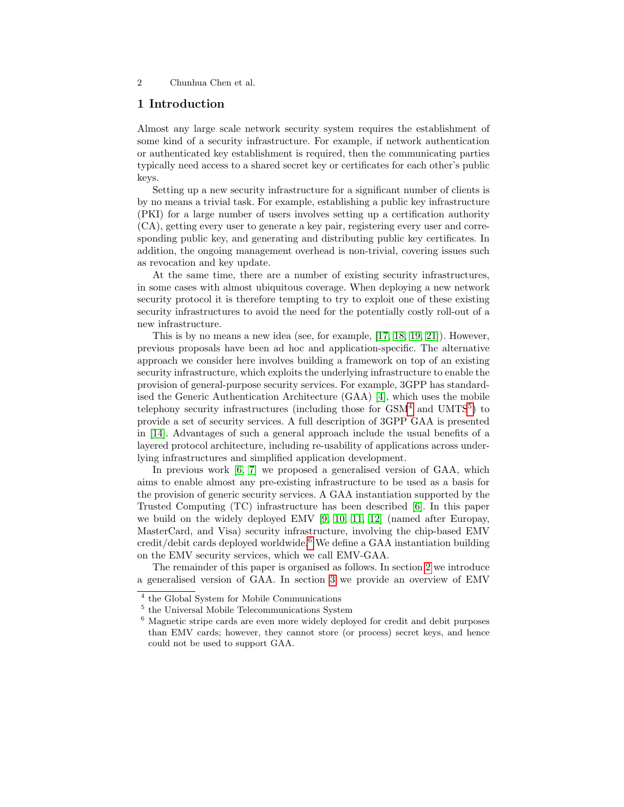## 1 Introduction

Almost any large scale network security system requires the establishment of some kind of a security infrastructure. For example, if network authentication or authenticated key establishment is required, then the communicating parties typically need access to a shared secret key or certificates for each other's public keys.

Setting up a new security infrastructure for a significant number of clients is by no means a trivial task. For example, establishing a public key infrastructure (PKI) for a large number of users involves setting up a certification authority (CA), getting every user to generate a key pair, registering every user and corresponding public key, and generating and distributing public key certificates. In addition, the ongoing management overhead is non-trivial, covering issues such as revocation and key update.

At the same time, there are a number of existing security infrastructures, in some cases with almost ubiquitous coverage. When deploying a new network security protocol it is therefore tempting to try to exploit one of these existing security infrastructures to avoid the need for the potentially costly roll-out of a new infrastructure.

This is by no means a new idea (see, for example, [\[17,](#page-15-0) [18,](#page-15-1) [19,](#page-15-2) [21\]](#page-15-3)). However, previous proposals have been ad hoc and application-specific. The alternative approach we consider here involves building a framework on top of an existing security infrastructure, which exploits the underlying infrastructure to enable the provision of general-purpose security services. For example, 3GPP has standardised the Generic Authentication Architecture (GAA) [\[4\]](#page-14-0), which uses the mobile telephony security infrastructures (including those for  $\text{GSM}^4$  $\text{GSM}^4$  and  $\text{UMTS}^5$  $\text{UMTS}^5$ ) to provide a set of security services. A full description of 3GPP GAA is presented in [\[14\]](#page-15-4). Advantages of such a general approach include the usual benefits of a layered protocol architecture, including re-usability of applications across underlying infrastructures and simplified application development.

In previous work [\[6,](#page-14-1) [7\]](#page-14-2) we proposed a generalised version of GAA, which aims to enable almost any pre-existing infrastructure to be used as a basis for the provision of generic security services. A GAA instantiation supported by the Trusted Computing (TC) infrastructure has been described [\[6\]](#page-14-1). In this paper we build on the widely deployed EMV [\[9,](#page-14-3) [10,](#page-14-4) [11,](#page-14-5) [12\]](#page-15-5) (named after Europay, MasterCard, and Visa) security infrastructure, involving the chip-based EMV credit/debit cards deployed worldwide. $6$  We define a GAA instantiation building on the EMV security services, which we call EMV-GAA.

The remainder of this paper is organised as follows. In section [2](#page-2-0) we introduce a generalised version of GAA. In section [3](#page-4-0) we provide an overview of EMV

<span id="page-1-0"></span><sup>4</sup> the Global System for Mobile Communications

<span id="page-1-1"></span><sup>5</sup> the Universal Mobile Telecommunications System

<span id="page-1-2"></span><sup>6</sup> Magnetic stripe cards are even more widely deployed for credit and debit purposes than EMV cards; however, they cannot store (or process) secret keys, and hence could not be used to support GAA.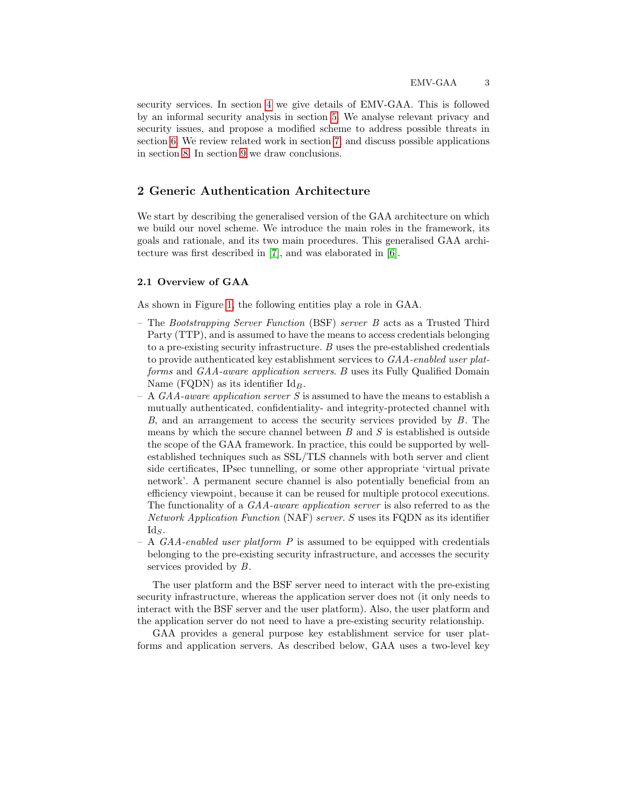security services. In section [4](#page-6-0) we give details of EMV-GAA. This is followed by an informal security analysis in section [5.](#page-10-0) We analyse relevant privacy and security issues, and propose a modified scheme to address possible threats in section [6.](#page-11-0) We review related work in section [7,](#page-12-0) and discuss possible applications in section [8.](#page-13-0) In section [9](#page-13-1) we draw conclusions.

# <span id="page-2-0"></span>2 Generic Authentication Architecture

We start by describing the generalised version of the GAA architecture on which we build our novel scheme. We introduce the main roles in the framework, its goals and rationale, and its two main procedures. This generalised GAA architecture was first described in [\[7\]](#page-14-2), and was elaborated in [\[6\]](#page-14-1).

#### <span id="page-2-1"></span>2.1 Overview of GAA

As shown in Figure [1,](#page-3-0) the following entities play a role in GAA.

- The Bootstrapping Server Function (BSF) server B acts as a Trusted Third Party (TTP), and is assumed to have the means to access credentials belonging to a pre-existing security infrastructure.  $B$  uses the pre-established credentials to provide authenticated key establishment services to GAA-enabled user platforms and GAA-aware application servers. B uses its Fully Qualified Domain Name (FQDN) as its identifier  $Id_B$ .
- A  $GAA$ -aware application server S is assumed to have the means to establish a mutually authenticated, confidentiality- and integrity-protected channel with B, and an arrangement to access the security services provided by B. The means by which the secure channel between  $B$  and  $S$  is established is outside the scope of the GAA framework. In practice, this could be supported by wellestablished techniques such as SSL/TLS channels with both server and client side certificates, IPsec tunnelling, or some other appropriate 'virtual private network'. A permanent secure channel is also potentially beneficial from an efficiency viewpoint, because it can be reused for multiple protocol executions. The functionality of a GAA-aware application server is also referred to as the Network Application Function (NAF) server. S uses its FQDN as its identifier  $\mathrm{Id}_S.$
- A  $GAA$ -enabled user platform  $P$  is assumed to be equipped with credentials belonging to the pre-existing security infrastructure, and accesses the security services provided by B.

The user platform and the BSF server need to interact with the pre-existing security infrastructure, whereas the application server does not (it only needs to interact with the BSF server and the user platform). Also, the user platform and the application server do not need to have a pre-existing security relationship.

GAA provides a general purpose key establishment service for user platforms and application servers. As described below, GAA uses a two-level key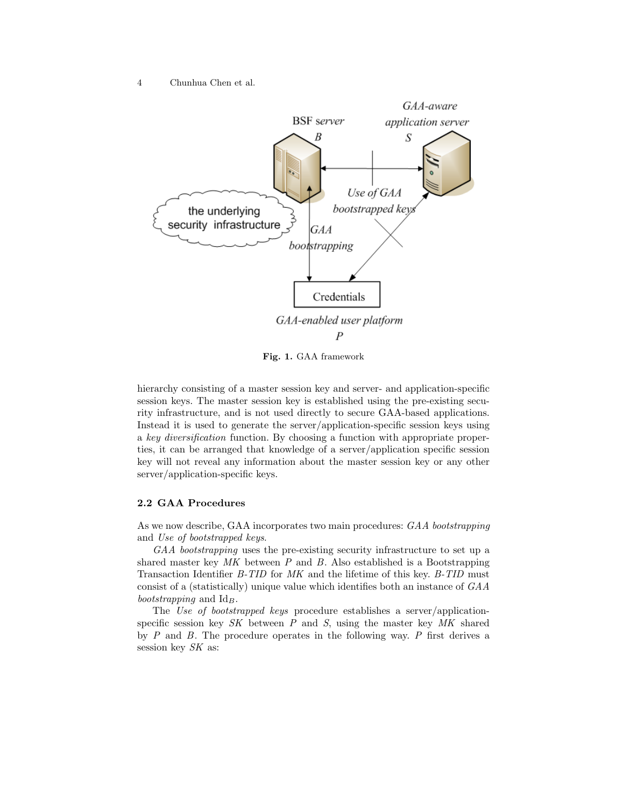

<span id="page-3-0"></span>Fig. 1. GAA framework

hierarchy consisting of a master session key and server- and application-specific session keys. The master session key is established using the pre-existing security infrastructure, and is not used directly to secure GAA-based applications. Instead it is used to generate the server/application-specific session keys using a key diversification function. By choosing a function with appropriate properties, it can be arranged that knowledge of a server/application specific session key will not reveal any information about the master session key or any other server/application-specific keys.

## <span id="page-3-1"></span>2.2 GAA Procedures

As we now describe, GAA incorporates two main procedures: GAA bootstrapping and Use of bootstrapped keys.

GAA bootstrapping uses the pre-existing security infrastructure to set up a shared master key  $MK$  between P and B. Also established is a Bootstrapping Transaction Identifier B-TID for MK and the lifetime of this key. B-TID must consist of a (statistically) unique value which identifies both an instance of GAA *bootstrapping* and  $Id_B$ .

The Use of bootstrapped keys procedure establishes a server/applicationspecific session key  $SK$  between P and S, using the master key  $MK$  shared by  $P$  and  $B$ . The procedure operates in the following way.  $P$  first derives a session key SK as: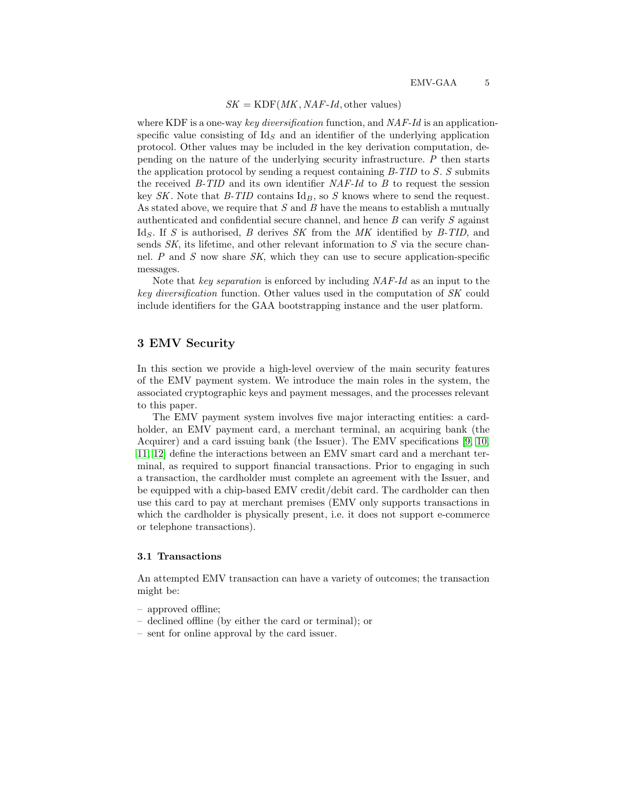#### $SK = KDF(MK, NAF-Id,$  other values)

where KDF is a one-way key diversification function, and  $NAF-Id$  is an applicationspecific value consisting of  $\text{Id}_S$  and an identifier of the underlying application protocol. Other values may be included in the key derivation computation, depending on the nature of the underlying security infrastructure.  $P$  then starts the application protocol by sending a request containing  $B-TID$  to  $S.$  S submits the received  $B$ -TID and its own identifier  $NAF$ -Id to B to request the session key  $SK.$  Note that B-TID contains  $Id_B$ , so S knows where to send the request. As stated above, we require that  $S$  and  $B$  have the means to establish a mutually authenticated and confidential secure channel, and hence B can verify S against Id<sub>S</sub>. If S is authorised, B derives SK from the MK identified by B-TID, and sends SK, its lifetime, and other relevant information to S via the secure channel.  $P$  and  $S$  now share  $SK$ , which they can use to secure application-specific messages.

Note that key separation is enforced by including NAF-Id as an input to the key diversification function. Other values used in the computation of SK could include identifiers for the GAA bootstrapping instance and the user platform.

## <span id="page-4-0"></span>3 EMV Security

In this section we provide a high-level overview of the main security features of the EMV payment system. We introduce the main roles in the system, the associated cryptographic keys and payment messages, and the processes relevant to this paper.

The EMV payment system involves five major interacting entities: a cardholder, an EMV payment card, a merchant terminal, an acquiring bank (the Acquirer) and a card issuing bank (the Issuer). The EMV specifications [\[9,](#page-14-3) [10,](#page-14-4) [11,](#page-14-5) [12\]](#page-15-5) define the interactions between an EMV smart card and a merchant terminal, as required to support financial transactions. Prior to engaging in such a transaction, the cardholder must complete an agreement with the Issuer, and be equipped with a chip-based EMV credit/debit card. The cardholder can then use this card to pay at merchant premises (EMV only supports transactions in which the cardholder is physically present, i.e. it does not support e-commerce or telephone transactions).

#### 3.1 Transactions

An attempted EMV transaction can have a variety of outcomes; the transaction might be:

- approved offline;
- declined offline (by either the card or terminal); or
- sent for online approval by the card issuer.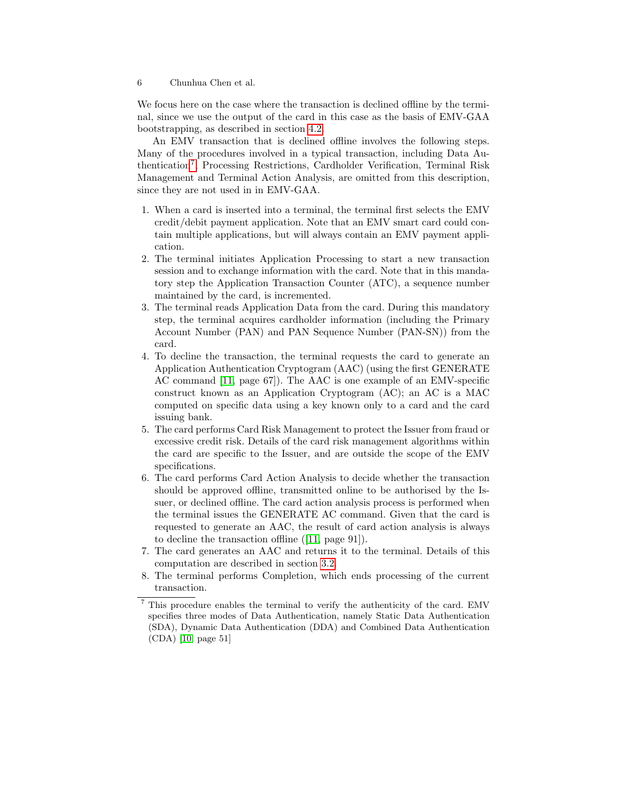We focus here on the case where the transaction is declined offline by the terminal, since we use the output of the card in this case as the basis of EMV-GAA bootstrapping, as described in section [4.2.](#page-8-0)

An EMV transaction that is declined offline involves the following steps. Many of the procedures involved in a typical transaction, including Data Authentication[7](#page-5-0) , Processing Restrictions, Cardholder Verification, Terminal Risk Management and Terminal Action Analysis, are omitted from this description, since they are not used in in EMV-GAA.

- 1. When a card is inserted into a terminal, the terminal first selects the EMV credit/debit payment application. Note that an EMV smart card could contain multiple applications, but will always contain an EMV payment application.
- 2. The terminal initiates Application Processing to start a new transaction session and to exchange information with the card. Note that in this mandatory step the Application Transaction Counter (ATC), a sequence number maintained by the card, is incremented.
- 3. The terminal reads Application Data from the card. During this mandatory step, the terminal acquires cardholder information (including the Primary Account Number (PAN) and PAN Sequence Number (PAN-SN)) from the card.
- 4. To decline the transaction, the terminal requests the card to generate an Application Authentication Cryptogram (AAC) (using the first GENERATE AC command [\[11,](#page-14-5) page 67]). The AAC is one example of an EMV-specific construct known as an Application Cryptogram (AC); an AC is a MAC computed on specific data using a key known only to a card and the card issuing bank.
- 5. The card performs Card Risk Management to protect the Issuer from fraud or excessive credit risk. Details of the card risk management algorithms within the card are specific to the Issuer, and are outside the scope of the EMV specifications.
- 6. The card performs Card Action Analysis to decide whether the transaction should be approved offline, transmitted online to be authorised by the Issuer, or declined offline. The card action analysis process is performed when the terminal issues the GENERATE AC command. Given that the card is requested to generate an AAC, the result of card action analysis is always to decline the transaction offline ([\[11,](#page-14-5) page 91]).
- 7. The card generates an AAC and returns it to the terminal. Details of this computation are described in section [3.2.](#page-6-1)
- 8. The terminal performs Completion, which ends processing of the current transaction.

<sup>6</sup> Chunhua Chen et al.

<span id="page-5-0"></span><sup>7</sup> This procedure enables the terminal to verify the authenticity of the card. EMV specifies three modes of Data Authentication, namely Static Data Authentication (SDA), Dynamic Data Authentication (DDA) and Combined Data Authentication (CDA) [\[10,](#page-14-4) page 51]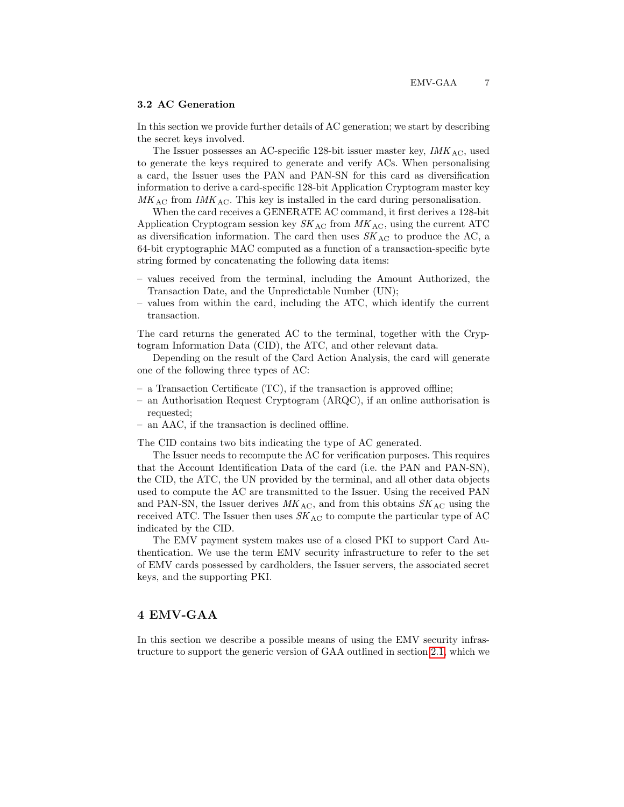#### <span id="page-6-1"></span>3.2 AC Generation

In this section we provide further details of AC generation; we start by describing the secret keys involved.

The Issuer possesses an AC-specific 128-bit issuer master key, IMK AC, used to generate the keys required to generate and verify ACs. When personalising a card, the Issuer uses the PAN and PAN-SN for this card as diversification information to derive a card-specific 128-bit Application Cryptogram master key  $MK_{AC}$  from  $IMK_{AC}$ . This key is installed in the card during personalisation.

When the card receives a GENERATE AC command, it first derives a 128-bit Application Cryptogram session key  $SK_{AC}$  from  $MK_{AC}$ , using the current ATC as diversification information. The card then uses  $SK_{AC}$  to produce the AC, a 64-bit cryptographic MAC computed as a function of a transaction-specific byte string formed by concatenating the following data items:

- values received from the terminal, including the Amount Authorized, the Transaction Date, and the Unpredictable Number (UN);
- values from within the card, including the ATC, which identify the current transaction.

The card returns the generated AC to the terminal, together with the Cryptogram Information Data (CID), the ATC, and other relevant data.

Depending on the result of the Card Action Analysis, the card will generate one of the following three types of AC:

- a Transaction Certificate (TC), if the transaction is approved offline;
- an Authorisation Request Cryptogram (ARQC), if an online authorisation is requested;
- an AAC, if the transaction is declined offline.

The CID contains two bits indicating the type of AC generated.

The Issuer needs to recompute the AC for verification purposes. This requires that the Account Identification Data of the card (i.e. the PAN and PAN-SN), the CID, the ATC, the UN provided by the terminal, and all other data objects used to compute the AC are transmitted to the Issuer. Using the received PAN and PAN-SN, the Issuer derives  $MK_{AC}$ , and from this obtains  $SK_{AC}$  using the received ATC. The Issuer then uses  $SK_{AC}$  to compute the particular type of AC indicated by the CID.

The EMV payment system makes use of a closed PKI to support Card Authentication. We use the term EMV security infrastructure to refer to the set of EMV cards possessed by cardholders, the Issuer servers, the associated secret keys, and the supporting PKI.

## <span id="page-6-0"></span>4 EMV-GAA

In this section we describe a possible means of using the EMV security infrastructure to support the generic version of GAA outlined in section [2.1,](#page-2-1) which we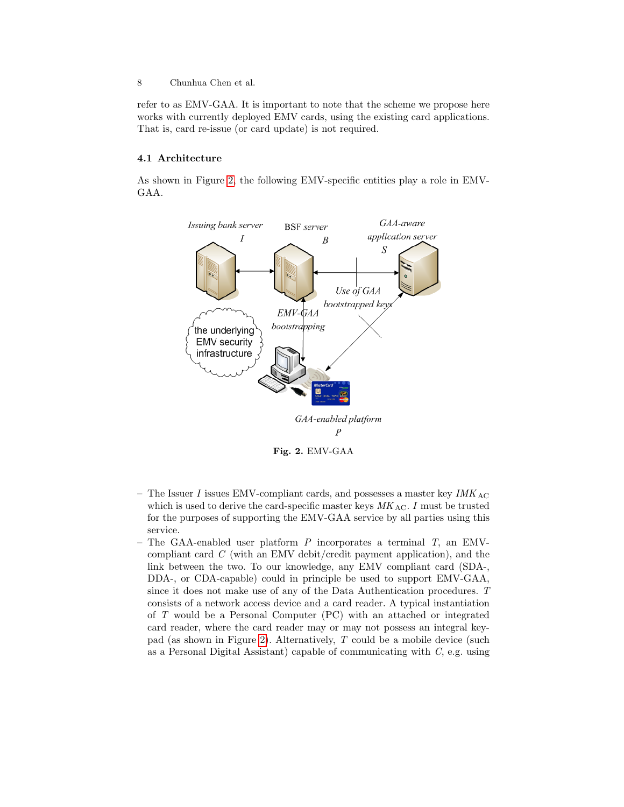refer to as EMV-GAA. It is important to note that the scheme we propose here works with currently deployed EMV cards, using the existing card applications. That is, card re-issue (or card update) is not required.

### 4.1 Architecture

As shown in Figure [2,](#page-7-0) the following EMV-specific entities play a role in EMV-GAA.



<span id="page-7-0"></span>Fig. 2. EMV-GAA

- The Issuer I issues EMV-compliant cards, and possesses a master key  $IMK_{AC}$ which is used to derive the card-specific master keys  $MK_{AC}$ . I must be trusted for the purposes of supporting the EMV-GAA service by all parties using this service.
- The GAA-enabled user platform  $P$  incorporates a terminal  $T$ , an EMVcompliant card C (with an EMV debit/credit payment application), and the link between the two. To our knowledge, any EMV compliant card (SDA-, DDA-, or CDA-capable) could in principle be used to support EMV-GAA, since it does not make use of any of the Data Authentication procedures. T consists of a network access device and a card reader. A typical instantiation of T would be a Personal Computer (PC) with an attached or integrated card reader, where the card reader may or may not possess an integral keypad (as shown in Figure [2\)](#page-7-0). Alternatively, T could be a mobile device (such as a Personal Digital Assistant) capable of communicating with  $C$ , e.g. using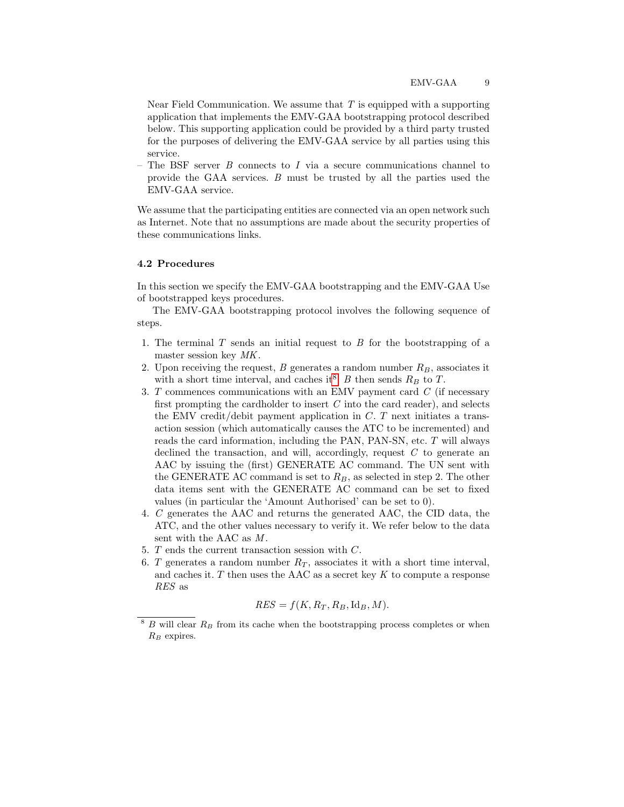Near Field Communication. We assume that  $T$  is equipped with a supporting application that implements the EMV-GAA bootstrapping protocol described below. This supporting application could be provided by a third party trusted for the purposes of delivering the EMV-GAA service by all parties using this service.

The BSF server  $B$  connects to  $I$  via a secure communications channel to provide the GAA services.  $B$  must be trusted by all the parties used the EMV-GAA service.

We assume that the participating entities are connected via an open network such as Internet. Note that no assumptions are made about the security properties of these communications links.

#### <span id="page-8-0"></span>4.2 Procedures

In this section we specify the EMV-GAA bootstrapping and the EMV-GAA Use of bootstrapped keys procedures.

The EMV-GAA bootstrapping protocol involves the following sequence of steps.

- 1. The terminal  $T$  sends an initial request to  $B$  for the bootstrapping of a master session key MK.
- 2. Upon receiving the request, B generates a random number  $R_B$ , associates it with a short time interval, and caches it<sup>[8](#page-8-1)</sup>. B then sends  $R_B$  to T.
- 3.  $T$  commences communications with an EMV payment card  $C$  (if necessary first prompting the cardholder to insert  $C$  into the card reader), and selects the EMV credit/debit payment application in  $C$ . T next initiates a transaction session (which automatically causes the ATC to be incremented) and reads the card information, including the PAN, PAN-SN, etc. T will always declined the transaction, and will, accordingly, request  $C$  to generate an AAC by issuing the (first) GENERATE AC command. The UN sent with the GENERATE AC command is set to  $R_B$ , as selected in step 2. The other data items sent with the GENERATE AC command can be set to fixed values (in particular the 'Amount Authorised' can be set to 0).
- 4. C generates the AAC and returns the generated AAC, the CID data, the ATC, and the other values necessary to verify it. We refer below to the data sent with the AAC as  $M$ .
- 5. T ends the current transaction session with C.
- 6. T generates a random number  $R_T$ , associates it with a short time interval, and caches it.  $T$  then uses the AAC as a secret key  $K$  to compute a response  $\mathit{RES}\xspace$  as

$$
RES = f(K, R_T, R_B, \mathrm{Id}_B, M).
$$

<span id="page-8-1"></span> $B$  will clear  $R_B$  from its cache when the bootstrapping process completes or when  $R_B$  expires.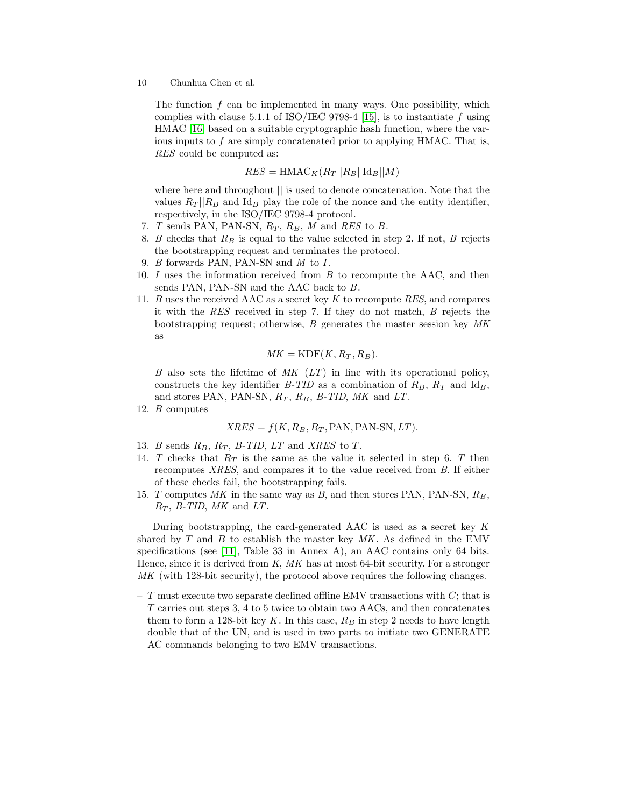The function  $f$  can be implemented in many ways. One possibility, which complies with clause 5.1.1 of ISO/IEC 9798-4 [\[15\]](#page-15-6), is to instantiate  $f$  using HMAC [\[16\]](#page-15-7) based on a suitable cryptographic hash function, where the various inputs to f are simply concatenated prior to applying HMAC. That is, RES could be computed as:

$$
RES = \text{HMAC}_{K}(R_T || R_B || \text{Id}_B || M)
$$

where here and throughout  $\parallel$  is used to denote concatenation. Note that the values  $R_T || R_B$  and Id<sub>B</sub> play the role of the nonce and the entity identifier, respectively, in the ISO/IEC 9798-4 protocol.

- 7. T sends PAN, PAN-SN,  $R_T$ ,  $R_B$ , M and RES to B.
- 8. B checks that  $R_B$  is equal to the value selected in step 2. If not, B rejects the bootstrapping request and terminates the protocol.
- 9. B forwards PAN, PAN-SN and M to I.
- 10. I uses the information received from  $B$  to recompute the AAC, and then sends PAN, PAN-SN and the AAC back to B.
- 11. B uses the received AAC as a secret key  $K$  to recompute RES, and compares it with the RES received in step 7. If they do not match, B rejects the bootstrapping request; otherwise,  $B$  generates the master session key  $MK$ as

$$
MK = \text{KDF}(K, R_T, R_B).
$$

B also sets the lifetime of  $MK (LT)$  in line with its operational policy, constructs the key identifier B-TID as a combination of  $R_B$ ,  $R_T$  and  $Id_B$ , and stores PAN, PAN-SN,  $R_T$ ,  $R_B$ , B-TID, MK and LT.

12. B computes

$$
XRES = f(K, R_B, R_T, PAN, PAN-SN, LT).
$$

- 13. B sends  $R_B$ ,  $R_T$ , B-TID, LT and XRES to T.
- 14. T checks that  $R_T$  is the same as the value it selected in step 6. T then recomputes XRES, and compares it to the value received from B. If either of these checks fail, the bootstrapping fails.
- 15. T computes MK in the same way as B, and then stores PAN, PAN-SN,  $R_B$ ,  $R_T$ , *B-TID*, *MK* and *LT*.

During bootstrapping, the card-generated AAC is used as a secret key  $K$ shared by T and B to establish the master key  $MK$ . As defined in the EMV specifications (see [\[11\]](#page-14-5), Table 33 in Annex A), an AAC contains only 64 bits. Hence, since it is derived from K,  $MK$  has at most 64-bit security. For a stronger MK (with 128-bit security), the protocol above requires the following changes.

 $-$  T must execute two separate declined offline EMV transactions with  $C$ ; that is T carries out steps 3, 4 to 5 twice to obtain two AACs, and then concatenates them to form a 128-bit key K. In this case,  $R_B$  in step 2 needs to have length double that of the UN, and is used in two parts to initiate two GENERATE AC commands belonging to two EMV transactions.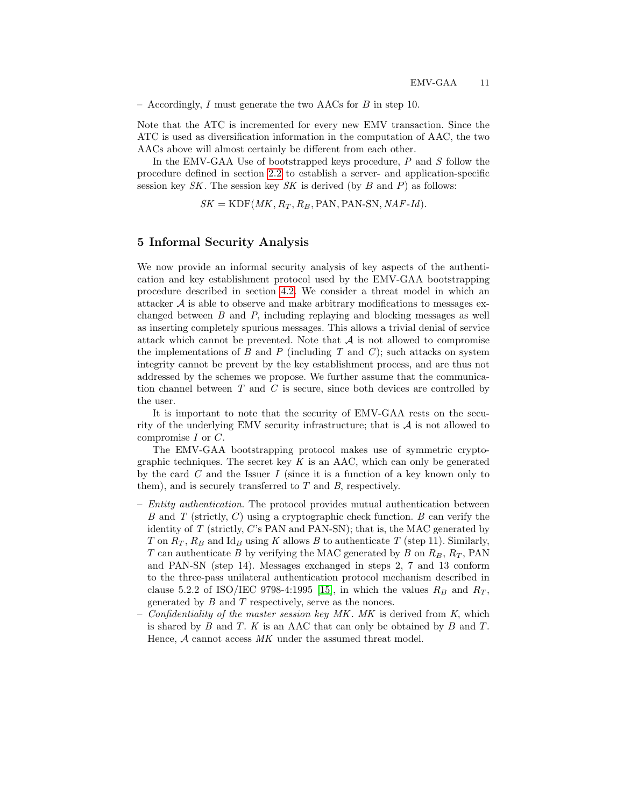– Accordingly, I must generate the two AACs for B in step 10.

Note that the ATC is incremented for every new EMV transaction. Since the ATC is used as diversification information in the computation of AAC, the two AACs above will almost certainly be different from each other.

In the EMV-GAA Use of bootstrapped keys procedure,  $P$  and  $S$  follow the procedure defined in section [2.2](#page-3-1) to establish a server- and application-specific session key  $SK$ . The session key  $SK$  is derived (by  $B$  and  $P$ ) as follows:

 $SK = KDF(MK, R_T, R_B, PAN, PAN-SN, MAF-Id).$ 

## <span id="page-10-0"></span>5 Informal Security Analysis

We now provide an informal security analysis of key aspects of the authentication and key establishment protocol used by the EMV-GAA bootstrapping procedure described in section [4.2.](#page-8-0) We consider a threat model in which an attacker  $A$  is able to observe and make arbitrary modifications to messages exchanged between B and P, including replaying and blocking messages as well as inserting completely spurious messages. This allows a trivial denial of service attack which cannot be prevented. Note that  $A$  is not allowed to compromise the implementations of B and P (including T and C); such attacks on system integrity cannot be prevent by the key establishment process, and are thus not addressed by the schemes we propose. We further assume that the communication channel between  $T$  and  $C$  is secure, since both devices are controlled by the user.

It is important to note that the security of EMV-GAA rests on the security of the underlying EMV security infrastructure; that is  $A$  is not allowed to compromise  $I$  or  $C$ .

The EMV-GAA bootstrapping protocol makes use of symmetric cryptographic techniques. The secret key  $K$  is an AAC, which can only be generated by the card  $C$  and the Issuer  $I$  (since it is a function of a key known only to them), and is securely transferred to  $T$  and  $B$ , respectively.

- Entity authentication. The protocol provides mutual authentication between B and T (strictly, C) using a cryptographic check function. B can verify the identity of  $T$  (strictly,  $C$ 's PAN and PAN-SN); that is, the MAC generated by T on  $R_T$ ,  $R_B$  and Id<sub>B</sub> using K allows B to authenticate T (step 11). Similarly, T can authenticate B by verifying the MAC generated by B on  $R_B$ ,  $R_T$ , PAN and PAN-SN (step 14). Messages exchanged in steps 2, 7 and 13 conform to the three-pass unilateral authentication protocol mechanism described in clause 5.2.2 of ISO/IEC 9798-4:1995 [\[15\]](#page-15-6), in which the values  $R_B$  and  $R_T$ , generated by  $B$  and  $T$  respectively, serve as the nonces.
- Confidentiality of the master session key  $MK$ .  $MK$  is derived from  $K$ , which is shared by  $B$  and  $T$ .  $K$  is an AAC that can only be obtained by  $B$  and  $T$ . Hence,  $A$  cannot access  $MK$  under the assumed threat model.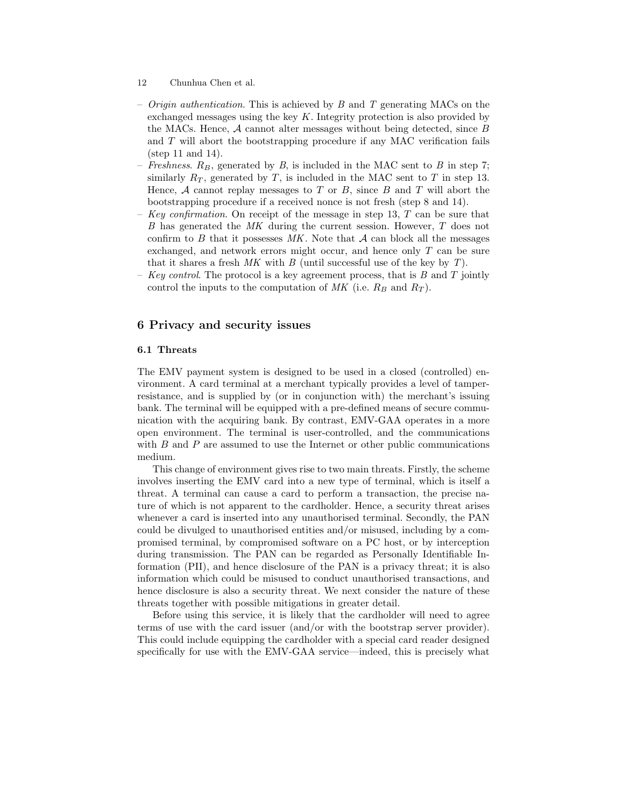- Origin authentication. This is achieved by B and T generating MACs on the exchanged messages using the key  $K$ . Integrity protection is also provided by the MACs. Hence, A cannot alter messages without being detected, since B and T will abort the bootstrapping procedure if any MAC verification fails (step 11 and 14).
- Freshness.  $R_B$ , generated by B, is included in the MAC sent to B in step 7; similarly  $R_T$ , generated by T, is included in the MAC sent to T in step 13. Hence,  $A$  cannot replay messages to  $T$  or  $B$ , since  $B$  and  $T$  will abort the bootstrapping procedure if a received nonce is not fresh (step 8 and 14).
- Key confirmation. On receipt of the message in step 13,  $T$  can be sure that B has generated the MK during the current session. However, T does not confirm to B that it possesses  $MK$ . Note that A can block all the messages exchanged, and network errors might occur, and hence only  $T$  can be sure that it shares a fresh  $MK$  with B (until successful use of the key by T).
- Key control. The protocol is a key agreement process, that is  $B$  and  $T$  jointly control the inputs to the computation of MK (i.e.  $R_B$  and  $R_T$ ).

## <span id="page-11-0"></span>6 Privacy and security issues

#### 6.1 Threats

The EMV payment system is designed to be used in a closed (controlled) environment. A card terminal at a merchant typically provides a level of tamperresistance, and is supplied by (or in conjunction with) the merchant's issuing bank. The terminal will be equipped with a pre-defined means of secure communication with the acquiring bank. By contrast, EMV-GAA operates in a more open environment. The terminal is user-controlled, and the communications with  $B$  and  $P$  are assumed to use the Internet or other public communications medium.

This change of environment gives rise to two main threats. Firstly, the scheme involves inserting the EMV card into a new type of terminal, which is itself a threat. A terminal can cause a card to perform a transaction, the precise nature of which is not apparent to the cardholder. Hence, a security threat arises whenever a card is inserted into any unauthorised terminal. Secondly, the PAN could be divulged to unauthorised entities and/or misused, including by a compromised terminal, by compromised software on a PC host, or by interception during transmission. The PAN can be regarded as Personally Identifiable Information (PII), and hence disclosure of the PAN is a privacy threat; it is also information which could be misused to conduct unauthorised transactions, and hence disclosure is also a security threat. We next consider the nature of these threats together with possible mitigations in greater detail.

Before using this service, it is likely that the cardholder will need to agree terms of use with the card issuer (and/or with the bootstrap server provider). This could include equipping the cardholder with a special card reader designed specifically for use with the EMV-GAA service—indeed, this is precisely what

<sup>12</sup> Chunhua Chen et al.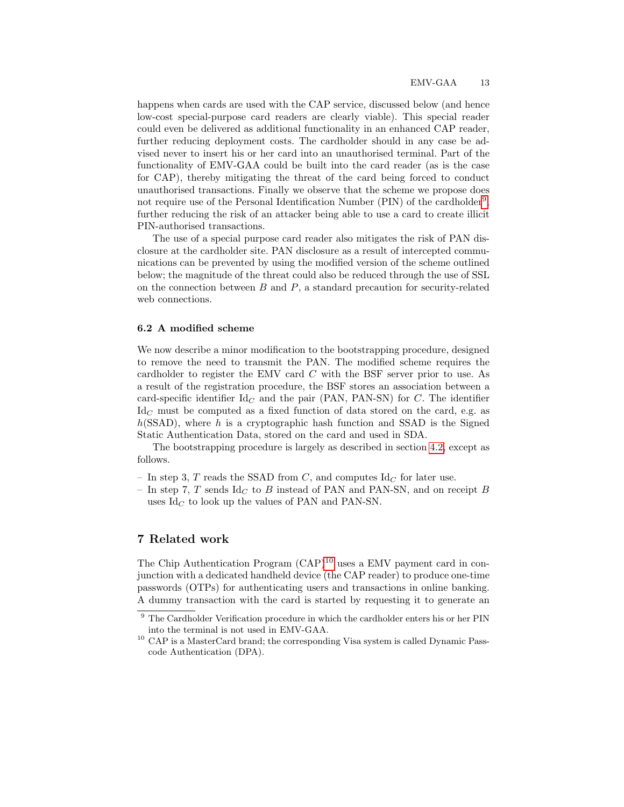happens when cards are used with the CAP service, discussed below (and hence low-cost special-purpose card readers are clearly viable). This special reader could even be delivered as additional functionality in an enhanced CAP reader, further reducing deployment costs. The cardholder should in any case be advised never to insert his or her card into an unauthorised terminal. Part of the functionality of EMV-GAA could be built into the card reader (as is the case for CAP), thereby mitigating the threat of the card being forced to conduct unauthorised transactions. Finally we observe that the scheme we propose does not require use of the Personal Identification Number (PIN) of the cardholder<sup>[9](#page-12-1)</sup>, further reducing the risk of an attacker being able to use a card to create illicit PIN-authorised transactions.

The use of a special purpose card reader also mitigates the risk of PAN disclosure at the cardholder site. PAN disclosure as a result of intercepted communications can be prevented by using the modified version of the scheme outlined below; the magnitude of the threat could also be reduced through the use of SSL on the connection between  $B$  and  $P$ , a standard precaution for security-related web connections.

#### 6.2 A modified scheme

We now describe a minor modification to the bootstrapping procedure, designed to remove the need to transmit the PAN. The modified scheme requires the cardholder to register the EMV card C with the BSF server prior to use. As a result of the registration procedure, the BSF stores an association between a card-specific identifier  $Id_C$  and the pair (PAN, PAN-SN) for C. The identifier  $\mathrm{Id}_C$  must be computed as a fixed function of data stored on the card, e.g. as  $h(SSAD)$ , where h is a cryptographic hash function and SSAD is the Signed Static Authentication Data, stored on the card and used in SDA.

The bootstrapping procedure is largely as described in section [4.2,](#page-8-0) except as follows.

- In step 3, T reads the SSAD from C, and computes  $Id_C$  for later use.
- In step 7, T sends  $Id_C$  to B instead of PAN and PAN-SN, and on receipt B uses  $Id_C$  to look up the values of PAN and PAN-SN.

# <span id="page-12-0"></span>7 Related work

The Chip Authentication Program  $(CAP)^{10}$  $(CAP)^{10}$  $(CAP)^{10}$  uses a EMV payment card in conjunction with a dedicated handheld device (the CAP reader) to produce one-time passwords (OTPs) for authenticating users and transactions in online banking. A dummy transaction with the card is started by requesting it to generate an

<span id="page-12-1"></span> $9$  The Cardholder Verification procedure in which the cardholder enters his or her PIN into the terminal is not used in EMV-GAA.

<span id="page-12-2"></span> $^{10}$  CAP is a MasterCard brand; the corresponding Visa system is called Dynamic Passcode Authentication (DPA).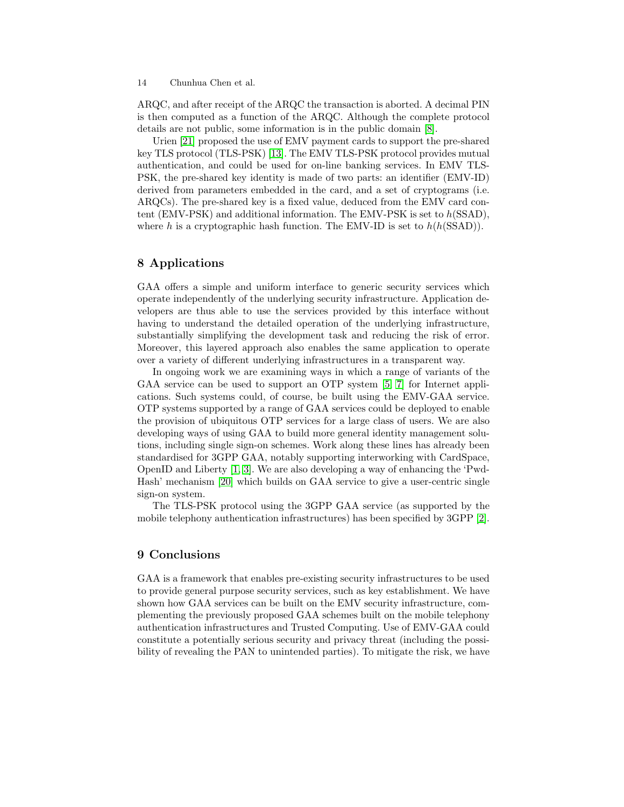ARQC, and after receipt of the ARQC the transaction is aborted. A decimal PIN is then computed as a function of the ARQC. Although the complete protocol details are not public, some information is in the public domain [\[8\]](#page-14-6).

Urien [\[21\]](#page-15-3) proposed the use of EMV payment cards to support the pre-shared key TLS protocol (TLS-PSK) [\[13\]](#page-15-8). The EMV TLS-PSK protocol provides mutual authentication, and could be used for on-line banking services. In EMV TLS-PSK, the pre-shared key identity is made of two parts: an identifier (EMV-ID) derived from parameters embedded in the card, and a set of cryptograms (i.e. ARQCs). The pre-shared key is a fixed value, deduced from the EMV card content (EMV-PSK) and additional information. The EMV-PSK is set to  $h(SSAD)$ , where h is a cryptographic hash function. The EMV-ID is set to  $h(h(\text{SSAD}))$ .

## <span id="page-13-0"></span>8 Applications

GAA offers a simple and uniform interface to generic security services which operate independently of the underlying security infrastructure. Application developers are thus able to use the services provided by this interface without having to understand the detailed operation of the underlying infrastructure, substantially simplifying the development task and reducing the risk of error. Moreover, this layered approach also enables the same application to operate over a variety of different underlying infrastructures in a transparent way.

In ongoing work we are examining ways in which a range of variants of the GAA service can be used to support an OTP system [\[5,](#page-14-7) [7\]](#page-14-2) for Internet applications. Such systems could, of course, be built using the EMV-GAA service. OTP systems supported by a range of GAA services could be deployed to enable the provision of ubiquitous OTP services for a large class of users. We are also developing ways of using GAA to build more general identity management solutions, including single sign-on schemes. Work along these lines has already been standardised for 3GPP GAA, notably supporting interworking with CardSpace, OpenID and Liberty [\[1,](#page-14-8) [3\]](#page-14-9). We are also developing a way of enhancing the 'Pwd-Hash' mechanism [\[20\]](#page-15-9) which builds on GAA service to give a user-centric single sign-on system.

The TLS-PSK protocol using the 3GPP GAA service (as supported by the mobile telephony authentication infrastructures) has been specified by 3GPP [\[2\]](#page-14-10).

# <span id="page-13-1"></span>9 Conclusions

GAA is a framework that enables pre-existing security infrastructures to be used to provide general purpose security services, such as key establishment. We have shown how GAA services can be built on the EMV security infrastructure, complementing the previously proposed GAA schemes built on the mobile telephony authentication infrastructures and Trusted Computing. Use of EMV-GAA could constitute a potentially serious security and privacy threat (including the possibility of revealing the PAN to unintended parties). To mitigate the risk, we have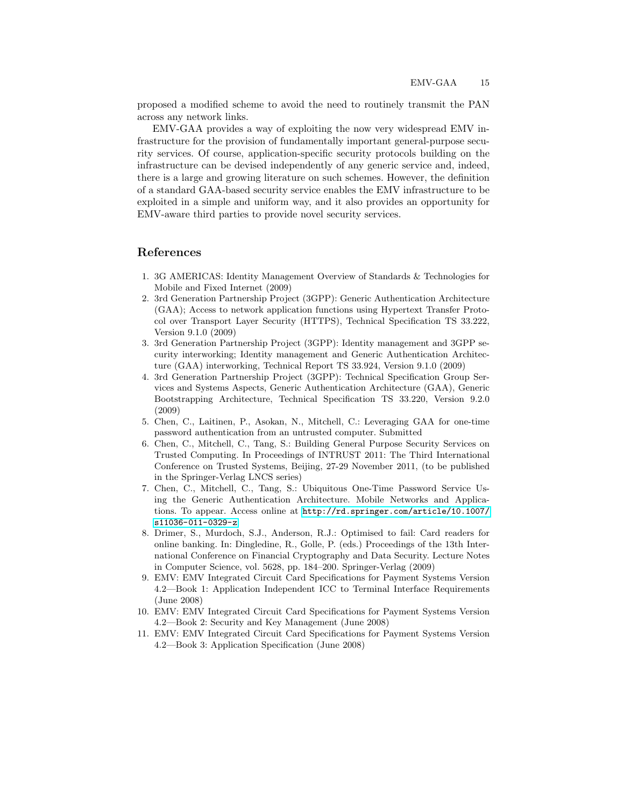proposed a modified scheme to avoid the need to routinely transmit the PAN across any network links.

EMV-GAA provides a way of exploiting the now very widespread EMV infrastructure for the provision of fundamentally important general-purpose security services. Of course, application-specific security protocols building on the infrastructure can be devised independently of any generic service and, indeed, there is a large and growing literature on such schemes. However, the definition of a standard GAA-based security service enables the EMV infrastructure to be exploited in a simple and uniform way, and it also provides an opportunity for EMV-aware third parties to provide novel security services.

## References

- <span id="page-14-8"></span>1. 3G AMERICAS: Identity Management Overview of Standards & Technologies for Mobile and Fixed Internet (2009)
- <span id="page-14-10"></span>2. 3rd Generation Partnership Project (3GPP): Generic Authentication Architecture (GAA); Access to network application functions using Hypertext Transfer Protocol over Transport Layer Security (HTTPS), Technical Specification TS 33.222, Version 9.1.0 (2009)
- <span id="page-14-9"></span>3. 3rd Generation Partnership Project (3GPP): Identity management and 3GPP security interworking; Identity management and Generic Authentication Architecture (GAA) interworking, Technical Report TS 33.924, Version 9.1.0 (2009)
- <span id="page-14-0"></span>4. 3rd Generation Partnership Project (3GPP): Technical Specification Group Services and Systems Aspects, Generic Authentication Architecture (GAA), Generic Bootstrapping Architecture, Technical Specification TS 33.220, Version 9.2.0 (2009)
- <span id="page-14-7"></span>5. Chen, C., Laitinen, P., Asokan, N., Mitchell, C.: Leveraging GAA for one-time password authentication from an untrusted computer. Submitted
- <span id="page-14-1"></span>6. Chen, C., Mitchell, C., Tang, S.: Building General Purpose Security Services on Trusted Computing. In Proceedings of INTRUST 2011: The Third International Conference on Trusted Systems, Beijing, 27-29 November 2011, (to be published in the Springer-Verlag LNCS series)
- <span id="page-14-2"></span>7. Chen, C., Mitchell, C., Tang, S.: Ubiquitous One-Time Password Service Using the Generic Authentication Architecture. Mobile Networks and Applications. To appear. Access online at [http://rd.springer.com/article/10.1007/](http://rd.springer.com/article/10.1007/s11036-011-0329-z) [s11036-011-0329-z](http://rd.springer.com/article/10.1007/s11036-011-0329-z)
- <span id="page-14-6"></span>8. Drimer, S., Murdoch, S.J., Anderson, R.J.: Optimised to fail: Card readers for online banking. In: Dingledine, R., Golle, P. (eds.) Proceedings of the 13th International Conference on Financial Cryptography and Data Security. Lecture Notes in Computer Science, vol. 5628, pp. 184–200. Springer-Verlag (2009)
- <span id="page-14-3"></span>9. EMV: EMV Integrated Circuit Card Specifications for Payment Systems Version 4.2—Book 1: Application Independent ICC to Terminal Interface Requirements (June 2008)
- <span id="page-14-4"></span>10. EMV: EMV Integrated Circuit Card Specifications for Payment Systems Version 4.2—Book 2: Security and Key Management (June 2008)
- <span id="page-14-5"></span>11. EMV: EMV Integrated Circuit Card Specifications for Payment Systems Version 4.2—Book 3: Application Specification (June 2008)